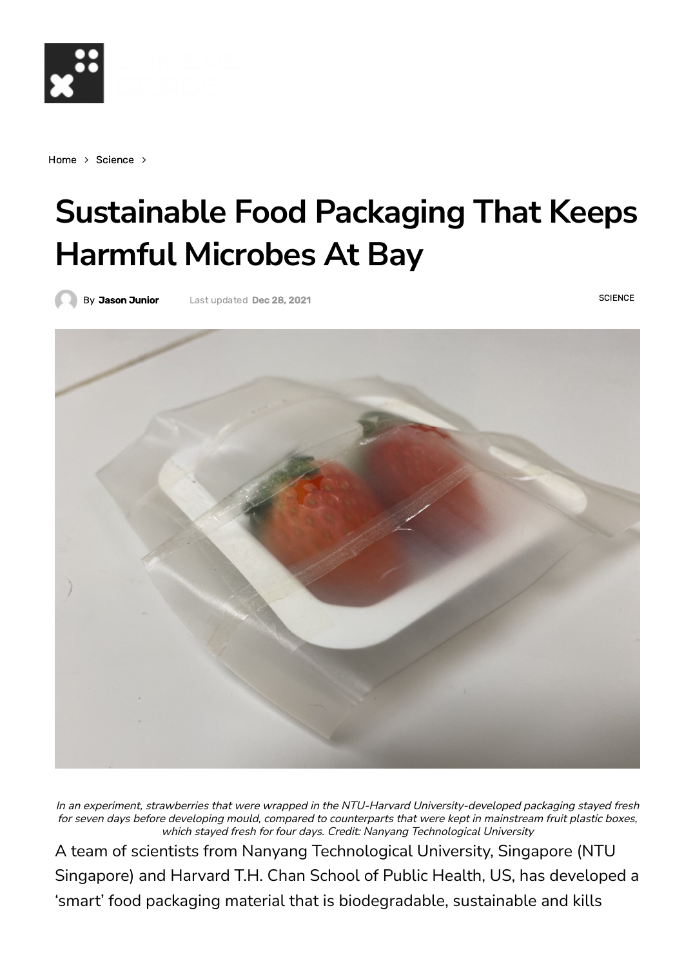

[Home](https://gamersgrade.com/)  $>$  [Science](https://gamersgrade.com/category/science/)  $>$ 

## **Sustainable Food Packaging That Keeps Harmful Microbes At Bay**

Last updated Dec 28, 2021

By Jason [Junior](https://gamersgrade.com/author/jason-junior/)

**[SCIENCE](https://gamersgrade.com/category/science/)** 



In an experiment, strawberries that were wrapped in the NTU-Harvard University-developed packaging stayed fresh for seven days before developing mould, compared to counterparts that were kept in mainstream fruit plastic boxes, which stayed fresh for four days. Credit: Nanyang Technological University

A team of scientists from Nanyang Technological University, Singapore (NTU Singapore) and Harvard T.H. Chan School of Public Health, US, has developed a 'smart' food packaging material that is biodegradable, sustainable and kills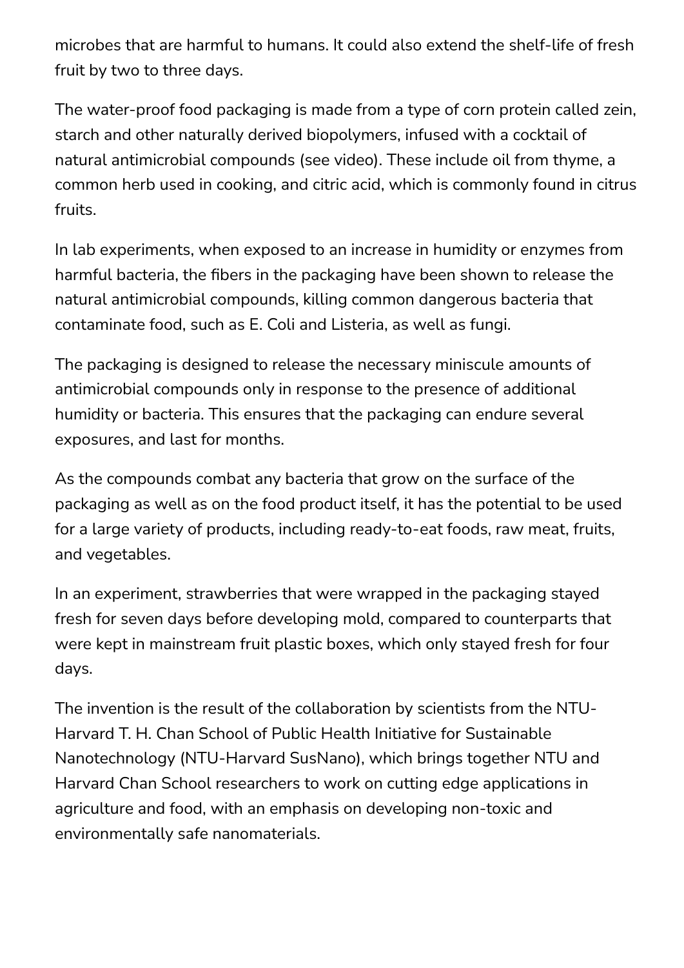microbes that are harmful to humans. It could also extend the shelf-life of fresh fruit by two to three days.

The water-proof food packaging is made from a type of corn protein called zein, starch and other naturally derived biopolymers, infused with a cocktail of natural antimicrobial compounds (see video). These include oil from thyme, a common herb used in cooking, and citric acid, which is commonly found in citrus fruits.

In lab experiments, when exposed to an increase in humidity or enzymes from harmful bacteria, the fibers in the packaging have been shown to release the natural antimicrobial compounds, killing common dangerous bacteria that contaminate food, such as E. Coli and Listeria, as well as fungi.

The packaging is designed to release the necessary miniscule amounts of antimicrobial compounds only in response to the presence of additional humidity or bacteria. This ensures that the packaging can endure several exposures, and last for months.

As the compounds combat any bacteria that grow on the surface of the packaging as well as on the food product itself, it has the potential to be used for a large variety of products, including ready-to-eat foods, raw meat, fruits, and vegetables.

In an experiment, strawberries that were wrapped in the packaging stayed fresh for seven days before developing mold, compared to counterparts that were kept in mainstream fruit plastic boxes, which only stayed fresh for four days.

The invention is the result of the collaboration by scientists from the NTU-Harvard T. H. Chan School of Public Health Initiative for Sustainable Nanotechnology (NTU-Harvard SusNano), which brings together NTU and Harvard Chan School researchers to work on cutting edge applications in agriculture and food, with an emphasis on developing non-toxic and environmentally safe nanomaterials.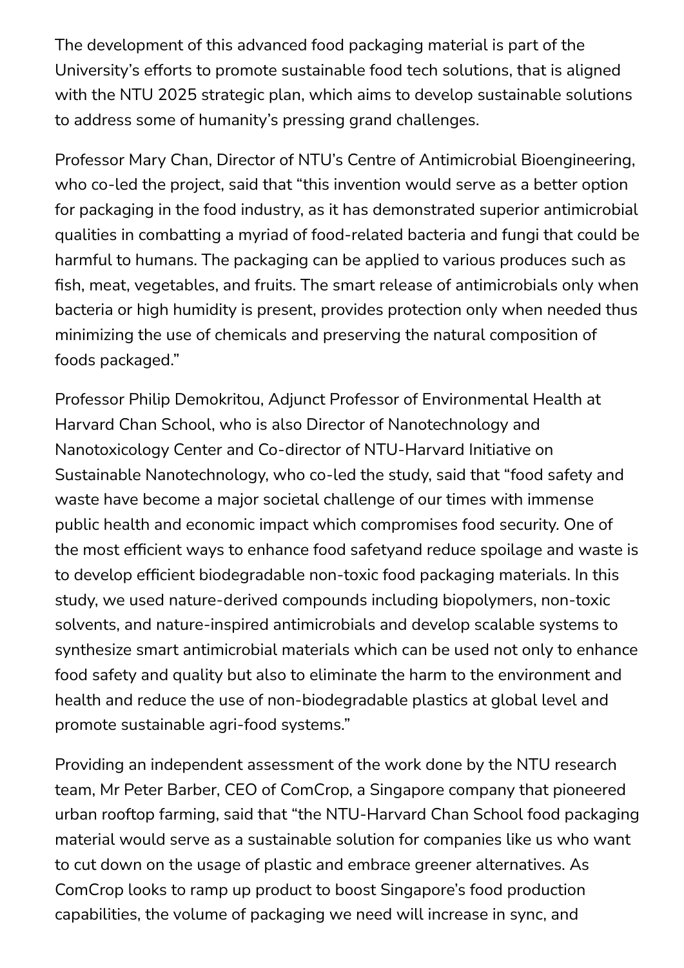The development of this advanced food packaging material is part of the University's efforts to promote sustainable food tech solutions, that is aligned with the NTU 2025 strategic plan, which aims to develop sustainable solutions to address some of humanity's pressing grand challenges.

Professor Mary Chan, Director of NTU's Centre of Antimicrobial Bioengineering, who co-led the project, said that "this invention would serve as a better option for packaging in the food industry, as it has demonstrated superior antimicrobial qualities in combatting a myriad of food-related bacteria and fungi that could be harmful to humans. The packaging can be applied to various produces such as fish, meat, vegetables, and fruits. The smart release of antimicrobials only when bacteria or high humidity is present, provides protection only when needed thus minimizing the use of chemicals and preserving the natural composition of foods packaged."

Professor Philip Demokritou, Adjunct Professor of Environmental Health at Harvard Chan School, who is also Director of Nanotechnology and Nanotoxicology Center and Co-director of NTU-Harvard Initiative on Sustainable Nanotechnology, who co-led the study, said that "food safety and waste have become a major societal challenge of our times with immense public health and economic impact which compromises food security. One of the most efficient ways to enhance food safetyand reduce spoilage and waste is to develop efficient biodegradable non-toxic food packaging materials. In this study, we used nature-derived compounds including biopolymers, non-toxic solvents, and nature-inspired antimicrobials and develop scalable systems to synthesize smart antimicrobial materials which can be used not only to enhance food safety and quality but also to eliminate the harm to the environment and health and reduce the use of non-biodegradable plastics at global level and promote sustainable agri-food systems."

Providing an independent assessment of the work done by the NTU research team, Mr Peter Barber, CEO of ComCrop, a Singapore company that pioneered urban rooftop farming, said that "the NTU-Harvard Chan School food packaging material would serve as a sustainable solution for companies like us who want to cut down on the usage of plastic and embrace greener alternatives. As ComCrop looks to ramp up product to boost Singapore's food production capabilities, the volume of packaging we need will increase in sync, and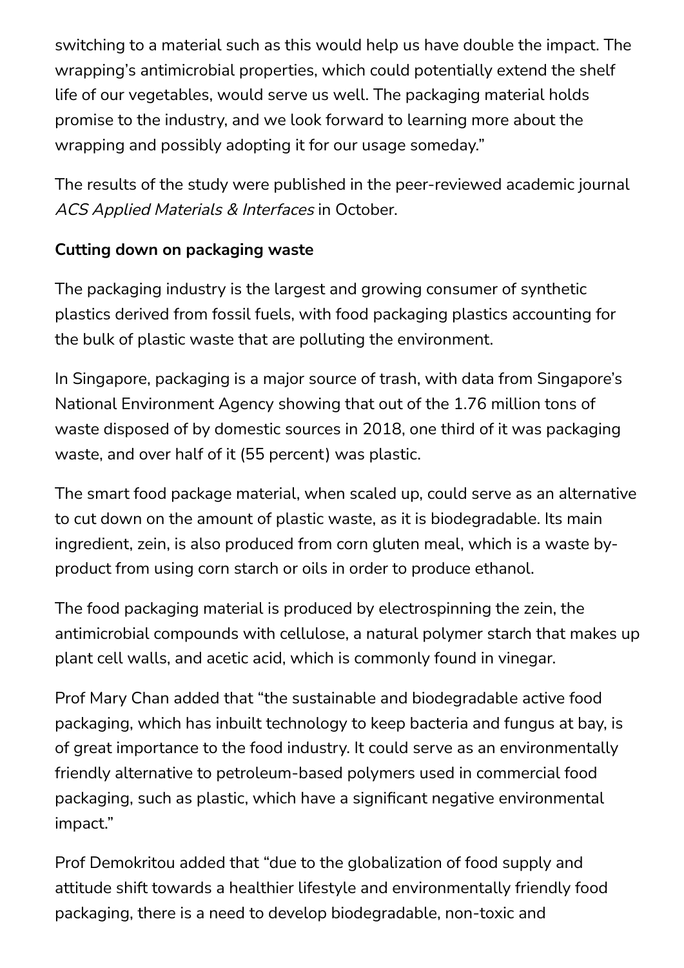switching to a material such as this would help us have double the impact. The wrapping's antimicrobial properties, which could potentially extend the shelf life of our vegetables, would serve us well. The packaging material holds promise to the industry, and we look forward to learning more about the wrapping and possibly adopting it for our usage someday."

The results of the study were published in the peer-reviewed academic journal ACS Applied Materials & Interfaces in October.

## **Cutting down on packaging waste**

The packaging industry is the largest and growing consumer of synthetic plastics derived from fossil fuels, with food packaging plastics accounting for the bulk of plastic waste that are polluting the environment.

In Singapore, packaging is a major source of trash, with data from Singapore's National Environment Agency showing that out of the 1.76 million tons of waste disposed of by domestic sources in 2018, one third of it was packaging waste, and over half of it (55 percent) was plastic.

The smart food package material, when scaled up, could serve as an alternative to cut down on the amount of plastic waste, as it is biodegradable. Its main ingredient, zein, is also produced from corn gluten meal, which is a waste byproduct from using corn starch or oils in order to produce ethanol.

The food packaging material is produced by electrospinning the zein, the antimicrobial compounds with cellulose, a natural polymer starch that makes up plant cell walls, and acetic acid, which is commonly found in vinegar.

Prof Mary Chan added that "the sustainable and biodegradable active food packaging, which has inbuilt technology to keep bacteria and fungus at bay, is of great importance to the food industry. It could serve as an environmentally friendly alternative to petroleum-based polymers used in commercial food packaging, such as plastic, which have a significant negative environmental impact."

Prof Demokritou added that "due to the globalization of food supply and attitude shift towards a healthier lifestyle and environmentally friendly food packaging, there is a need to develop biodegradable, non-toxic and